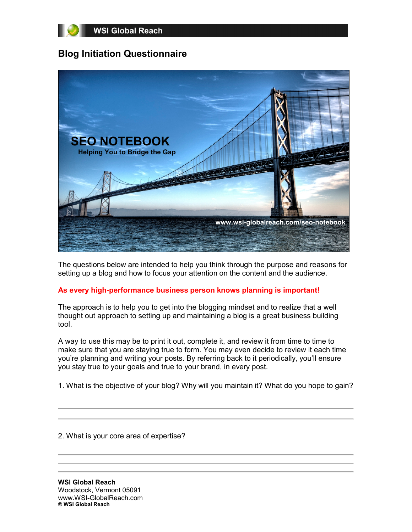

## **Blog Initiation Questionnaire**



The questions below are intended to help you think through the purpose and reasons for setting up a blog and how to focus your attention on the content and the audience.

## **As every high-performance business person knows planning is important!**

The approach is to help you to get into the blogging mindset and to realize that a well thought out approach to setting up and maintaining a blog is a great business building tool.

A way to use this may be to print it out, complete it, and review it from time to time to make sure that you are staying true to form. You may even decide to review it each time you're planning and writing your posts. By referring back to it periodically, you'll ensure you stay true to your goals and true to your brand, in every post.

1. What is the objective of your blog? Why will you maintain it? What do you hope to gain?

2. What is your core area of expertise?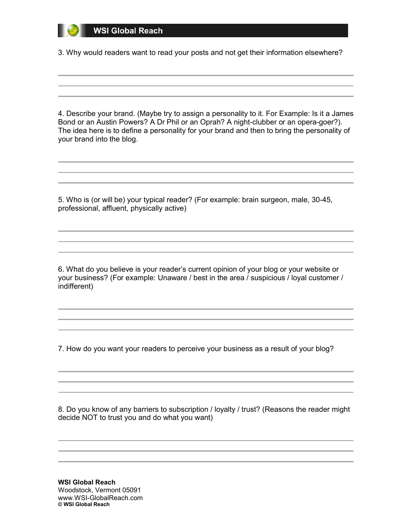3. Why would readers want to read your posts and not get their information elsewhere?

4. Describe your brand. (Maybe try to assign a personality to it. For Example: Is it a James Bond or an Austin Powers? A Dr Phil or an Oprah? A night-clubber or an opera-goer?). The idea here is to define a personality for your brand and then to bring the personality of your brand into the blog.

5. Who is (or will be) your typical reader? (For example: brain surgeon, male, 30-45, professional, affluent, physically active)

6. What do you believe is your reader's current opinion of your blog or your website or your business? (For example: Unaware / best in the area / suspicious / loyal customer / indifferent)

7. How do you want your readers to perceive your business as a result of your blog?

8. Do you know of any barriers to subscription / loyalty / trust? (Reasons the reader might decide NOT to trust you and do what you want)

**WSI Global Reach** Woodstock, Vermont 05091 www.WSI-GlobalReach.com **© WSI Global Reach**